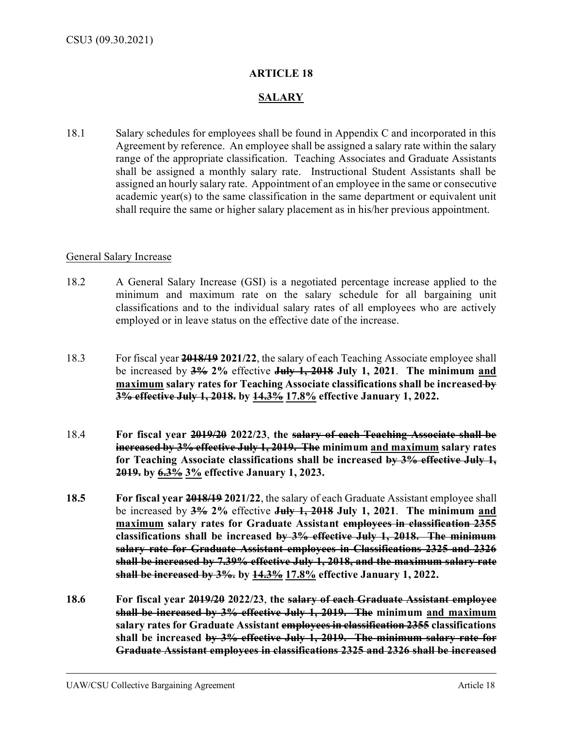## **ARTICLE 18**

## **SALARY**

18.1 Salary schedules for employees shall be found in Appendix C and incorporated in this Agreement by reference. An employee shall be assigned a salary rate within the salary range of the appropriate classification. Teaching Associates and Graduate Assistants shall be assigned a monthly salary rate. Instructional Student Assistants shall be assigned an hourly salary rate. Appointment of an employee in the same or consecutive academic year(s) to the same classification in the same department or equivalent unit shall require the same or higher salary placement as in his/her previous appointment.

## General Salary Increase

- 18.2 A General Salary Increase (GSI) is a negotiated percentage increase applied to the minimum and maximum rate on the salary schedule for all bargaining unit classifications and to the individual salary rates of all employees who are actively employed or in leave status on the effective date of the increase.
- 18.3 For fiscal year **2018/19 2021/22**, the salary of each Teaching Associate employee shall be increased by **3% 2%** effective **July 1, 2018 July 1, 2021**. **The minimum and maximum salary rates for Teaching Associate classifications shall be increased by 3% effective July 1, 2018. by 14.3% 17.8% effective January 1, 2022.**
- 18.4 **For fiscal year 2019/20 2022/23**, **the salary of each Teaching Associate shall be increased by 3% effective July 1, 2019. The minimum and maximum salary rates for Teaching Associate classifications shall be increased by 3% effective July 1, 2019. by 6.3% 3% effective January 1, 2023.**
- **18.5 For fiscal year 2018/19 2021/22**, the salary of each Graduate Assistant employee shall be increased by **3% 2%** effective **July 1, 2018 July 1, 2021**. **The minimum and maximum salary rates for Graduate Assistant employees in classification 2355 classifications shall be increased by 3% effective July 1, 2018. The minimum salary rate for Graduate Assistant employees in Classifications 2325 and 2326 shall be increased by 7.39% effective July 1, 2018, and the maximum salary rate shall be increased by 3%. by 14.3% 17.8% effective January 1, 2022.**
- **18.6 For fiscal year 2019/20 2022/23**, **the salary of each Graduate Assistant employee shall be increased by 3% effective July 1, 2019. The minimum and maximum salary rates for Graduate Assistant employees in classification 2355 classifications shall be increased by 3% effective July 1, 2019. The minimum salary rate for Graduate Assistant employees in classifications 2325 and 2326 shall be increased**